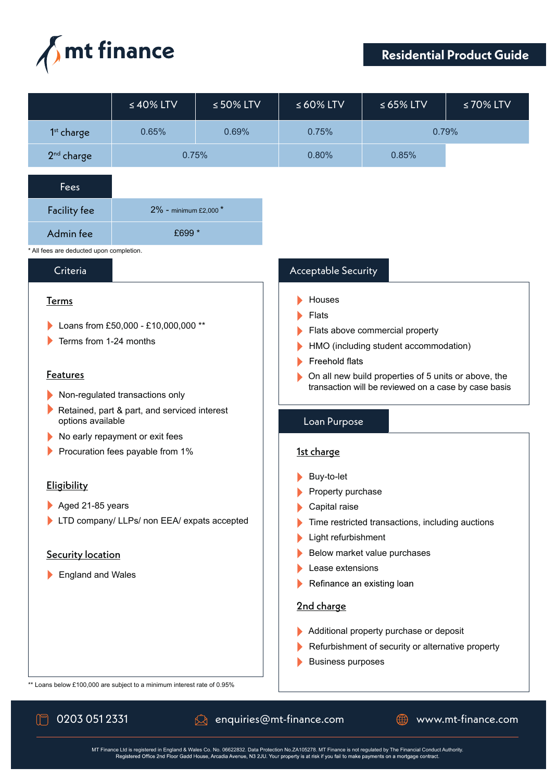

## **Residential Product Guide**

|                                                                                                                                                                                                                                                                                 | $\leq 40\%$ LTV                                                         | $\leq 50\%$ LTV | $\leq 60\%$ LTV                                                                                                                                                                                                                                                    | $\leq 65\%$ LTV | ≤70% LTV |
|---------------------------------------------------------------------------------------------------------------------------------------------------------------------------------------------------------------------------------------------------------------------------------|-------------------------------------------------------------------------|-----------------|--------------------------------------------------------------------------------------------------------------------------------------------------------------------------------------------------------------------------------------------------------------------|-----------------|----------|
| $1st$ charge                                                                                                                                                                                                                                                                    | 0.65%                                                                   | 0.69%           | 0.75%                                                                                                                                                                                                                                                              | 0.79%           |          |
| 2 <sup>nd</sup> charge                                                                                                                                                                                                                                                          | 0.75%                                                                   |                 | 0.80%                                                                                                                                                                                                                                                              | 0.85%           |          |
| Fees                                                                                                                                                                                                                                                                            |                                                                         |                 |                                                                                                                                                                                                                                                                    |                 |          |
| <b>Facility fee</b>                                                                                                                                                                                                                                                             | 2% - minimum £2,000 *                                                   |                 |                                                                                                                                                                                                                                                                    |                 |          |
| Admin fee                                                                                                                                                                                                                                                                       | £699 *                                                                  |                 |                                                                                                                                                                                                                                                                    |                 |          |
| * All fees are deducted upon completion.                                                                                                                                                                                                                                        |                                                                         |                 |                                                                                                                                                                                                                                                                    |                 |          |
| Criteria<br>Acceptable Security                                                                                                                                                                                                                                                 |                                                                         |                 |                                                                                                                                                                                                                                                                    |                 |          |
| <u>Terms</u><br>Loans from £50,000 - £10,000,000 **<br>Terms from 1-24 months<br><b>Features</b><br>Non-regulated transactions only<br>Retained, part & part, and serviced interest<br>options available<br>No early repayment or exit fees<br>Procuration fees payable from 1% |                                                                         |                 | Houses<br>Flats<br>Flats above commercial property<br>HMO (including student accommodation)<br>Freehold flats<br>On all new build properties of 5 units or above, the<br>transaction will be reviewed on a case by case basis<br>Loan Purpose<br><u>1st charge</u> |                 |          |
| Eligibility                                                                                                                                                                                                                                                                     |                                                                         |                 | Buy-to-let<br>Property purchase                                                                                                                                                                                                                                    |                 |          |
| Aged 21-85 years                                                                                                                                                                                                                                                                |                                                                         |                 | Capital raise                                                                                                                                                                                                                                                      |                 |          |
| LTD company/ LLPs/ non EEA/ expats accepted                                                                                                                                                                                                                                     |                                                                         |                 | Time restricted transactions, including auctions                                                                                                                                                                                                                   |                 |          |
| <b>Security location</b><br><b>England and Wales</b>                                                                                                                                                                                                                            |                                                                         |                 | Light refurbishment<br>Below market value purchases<br>Lease extensions<br>Refinance an existing loan<br>2nd charge<br>Additional property purchase or deposit<br>Refurbishment of security or alternative property<br><b>Business purposes</b>                    |                 |          |
|                                                                                                                                                                                                                                                                                 | ** Loans below £100,000 are subject to a minimum interest rate of 0.95% |                 |                                                                                                                                                                                                                                                                    |                 |          |

 $\mathbb{M}$ 

0203 051 2331 anquiries@mt-finance.com ● www.mt-finance.com